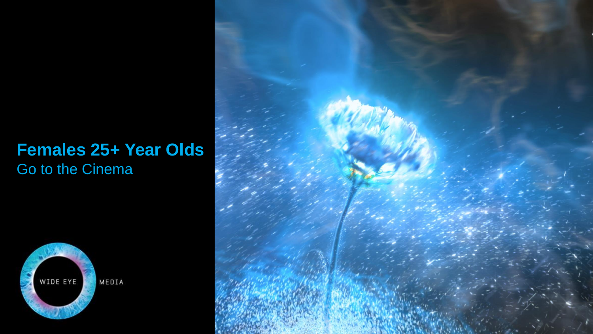#### **Females 25+ Year Olds**  Go to the Cinema



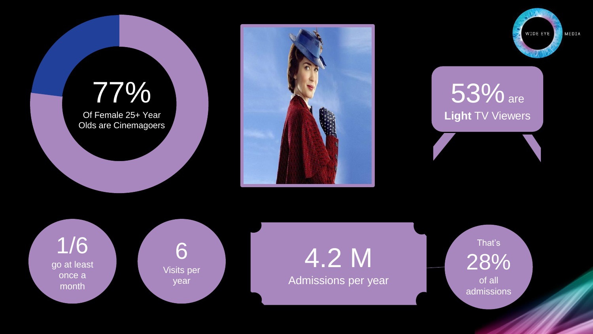# 77%

Of Female 25+ Year Olds are Cinemagoers





53% are **Light** TV Viewers

1/6 go at least once a month

6 Visits per year

4.2 M Admissions per year

That's 28% of all admissions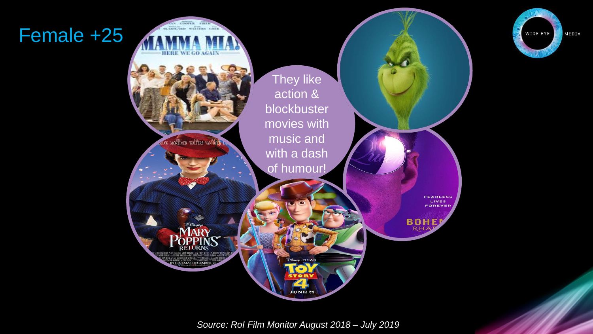### Female +25



WIDE EYE MEDIA

*Source: RoI Film Monitor August 2018 – July 2019*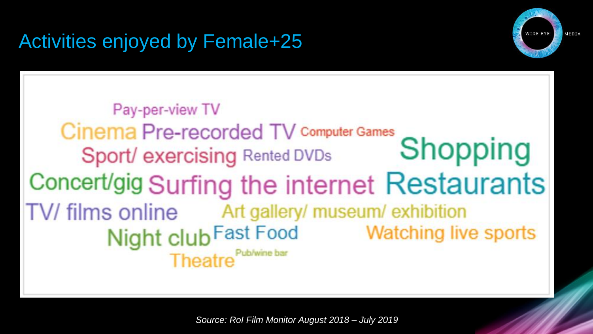## Activities enjoyed by Female+25



Pay-per-view TV Cinema Pre-recorded TV Computer Games Shopping Sport/ exercising Rented DVDs Concert/gig Surfing the internet Restaurants TV/ films online Art gallery/ museum/ exhibition Night club Fast Food **Watching live sports** Theatre<sup>Pub/wine bar</sup>

*Source: RoI Film Monitor August 2018 – July 2019*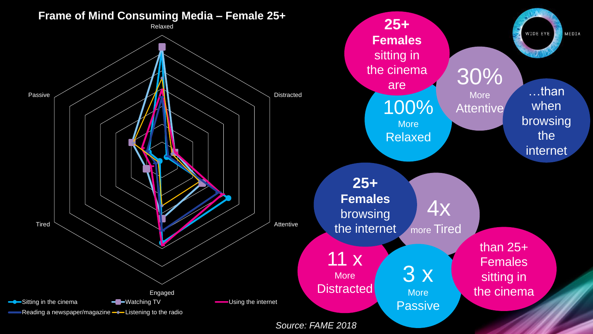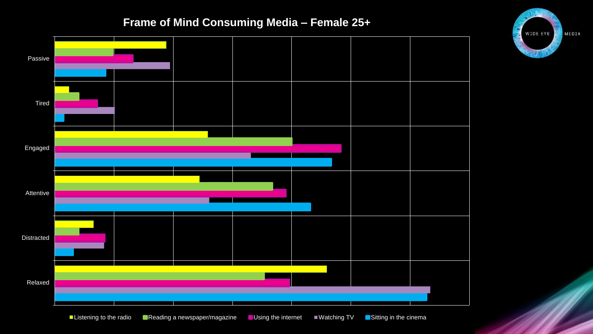#### **Frame of Mind Consuming Media – Female 25+**

![](_page_5_Figure_1.jpeg)

![](_page_5_Picture_2.jpeg)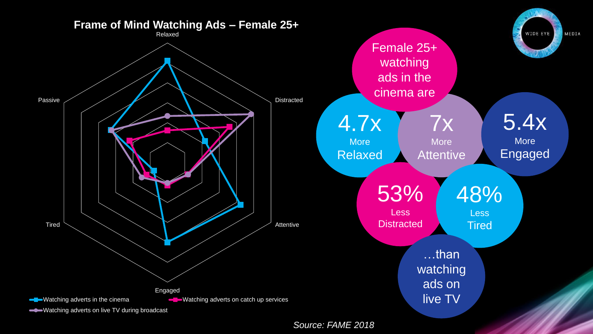![](_page_6_Figure_0.jpeg)

*Source: FAME 2018*